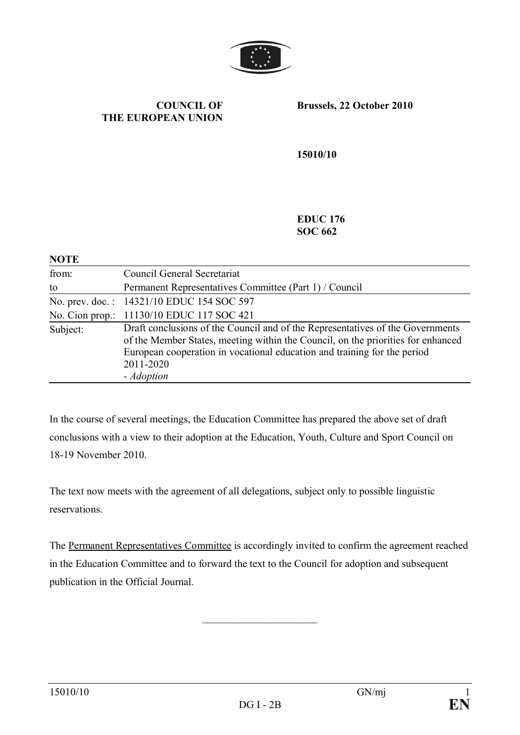

#### **COUNCIL OF THE EUROPEAN UNION**

**Brussels, 22 October 2010**

**15010/10**

**EDUC 176 SOC 662**

| <b>NOTE</b> |                                                                                                                                                                                                                                                                           |
|-------------|---------------------------------------------------------------------------------------------------------------------------------------------------------------------------------------------------------------------------------------------------------------------------|
| from:       | Council General Secretariat                                                                                                                                                                                                                                               |
| to          | Permanent Representatives Committee (Part 1) / Council                                                                                                                                                                                                                    |
|             | No. prev. doc.: 14321/10 EDUC 154 SOC 597                                                                                                                                                                                                                                 |
|             | No. Cion prop.: 11130/10 EDUC 117 SOC 421                                                                                                                                                                                                                                 |
| Subject:    | Draft conclusions of the Council and of the Representatives of the Governments<br>of the Member States, meeting within the Council, on the priorities for enhanced<br>European cooperation in vocational education and training for the period<br>2011-2020<br>- Adoption |

In the course of several meetings, the Education Committee has prepared the above set of draft conclusions with a view to their adoption at the Education, Youth, Culture and Sport Council on 18-19 November 2010.

The text now meets with the agreement of all delegations, subject only to possible linguistic reservations.

The Permanent Representatives Committee is accordingly invited to confirm the agreement reached in the Education Committee and to forward the text to the Council for adoption and subsequent publication in the Official Journal.

 $\overline{\phantom{a}}$  , where  $\overline{\phantom{a}}$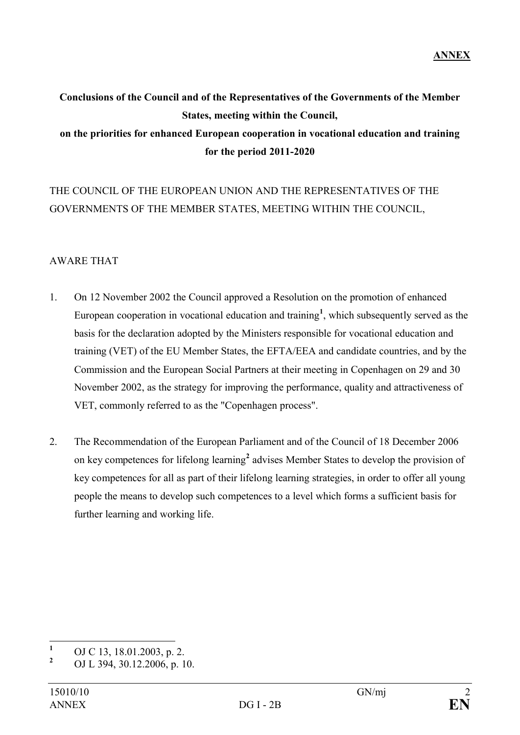# **Conclusions of the Council and of the Representatives of the Governments of the Member States, meeting within the Council, on the priorities for enhanced European cooperation in vocational education and training for the period 2011-2020**

# THE COUNCIL OF THE EUROPEAN UNION AND THE REPRESENTATIVES OF THE GOVERNMENTS OF THE MEMBER STATES, MEETING WITHIN THE COUNCIL,

# AWARE THAT

- 1. On 12 November 2002 the Council approved a Resolution on the promotion of enhanced European cooperation in vocational education and training**<sup>1</sup>** , which subsequently served as the basis for the declaration adopted by the Ministers responsible for vocational education and training (VET) of the EU Member States, the EFTA/EEA and candidate countries, and by the Commission and the European Social Partners at their meeting in Copenhagen on 29 and 30 November 2002, as the strategy for improving the performance, quality and attractiveness of VET, commonly referred to as the "Copenhagen process".
- 2. The Recommendation of the European Parliament and of the Council of 18 December 2006 on key competences for lifelong learning**<sup>2</sup>** advises Member States to develop the provision of key competences for all as part of their lifelong learning strategies, in order to offer all young people the means to develop such competences to a level which forms a sufficient basis for further learning and working life.

**<sup>1</sup>** OJ C 13, 18.01.2003, p. 2.

**<sup>2</sup>** OJ L 394, 30.12.2006, p. 10.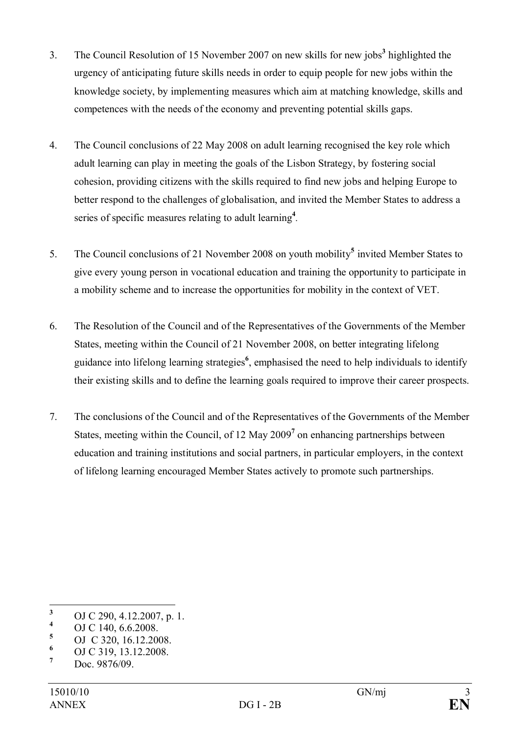- 3. The Council Resolution of 15 November 2007 on new skills for new jobs**<sup>3</sup>** highlighted the urgency of anticipating future skills needs in order to equip people for new jobs within the knowledge society, by implementing measures which aim at matching knowledge, skills and competences with the needs of the economy and preventing potential skills gaps.
- 4. The Council conclusions of 22 May 2008 on adult learning recognised the key role which adult learning can play in meeting the goals of the Lisbon Strategy, by fostering social cohesion, providing citizens with the skills required to find new jobs and helping Europe to better respond to the challenges of globalisation, and invited the Member States to address a series of specific measures relating to adult learning**<sup>4</sup>** *.*
- 5. The Council conclusions of 21 November 2008 on youth mobility<sup>5</sup> invited Member States to give every young person in vocational education and training the opportunity to participate in a mobility scheme and to increase the opportunities for mobility in the context of VET.
- 6. The Resolution of the Council and of the Representatives of the Governments of the Member States, meeting within the Council of 21 November 2008, on better integrating lifelong guidance into lifelong learning strategies**<sup>6</sup>** , emphasised the need to help individuals to identify their existing skills and to define the learning goals required to improve their career prospects.
- 7. The conclusions of the Council and of the Representatives of the Governments of the Member States, meeting within the Council, of 12 May 2009**<sup>7</sup>** on enhancing partnerships between education and training institutions and social partners, in particular employers, in the context of lifelong learning encouraged Member States actively to promote such partnerships.

<sup>&</sup>lt;sup>3</sup> OJ C 290, 4.12.2007, p. 1.<br><sup>4</sup> OJ C 140, 6.6.2009

 $\frac{4}{5}$  OJ C 140, 6.6.2008.

 $\frac{5}{6}$  OJ C 320, 16.12.2008.

 $\frac{6}{7}$  OJ C 319, 13.12.2008.

**<sup>7</sup>** Doc. 9876/09.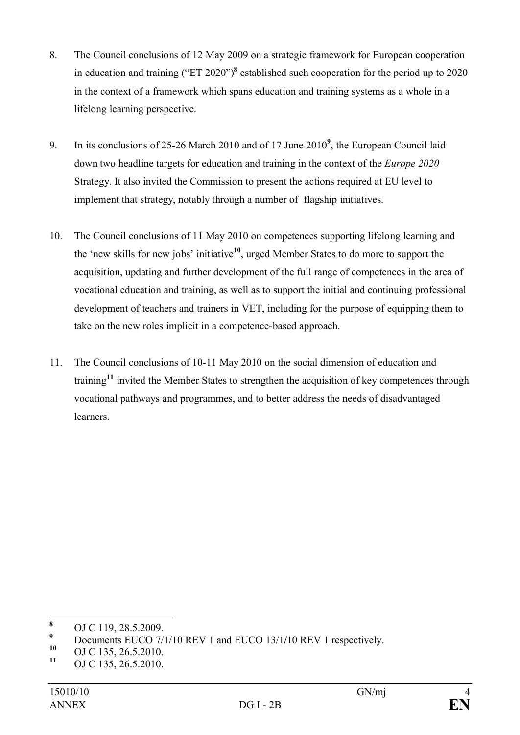- 8. The Council conclusions of 12 May 2009 on a strategic framework for European cooperation in education and training ("ET 2020")**<sup>8</sup>** established such cooperation for the period up to 2020 in the context of a framework which spans education and training systems as a whole in a lifelong learning perspective.
- 9. In its conclusions of 25-26 March 2010 and of 17 June 2010**<sup>9</sup>** , the European Council laid down two headline targets for education and training in the context of the *Europe 2020* Strategy. It also invited the Commission to present the actions required at EU level to implement that strategy, notably through a number of flagship initiatives.
- 10. The Council conclusions of 11 May 2010 on competences supporting lifelong learning and the 'new skills for new jobs' initiative**<sup>10</sup>**, urged Member States to do more to support the acquisition, updating and further development of the full range of competences in the area of vocational education and training, as well as to support the initial and continuing professional development of teachers and trainers in VET, including for the purpose of equipping them to take on the new roles implicit in a competence-based approach.
- 11. The Council conclusions of 10-11 May 2010 on the social dimension of education and training**<sup>11</sup>** invited the Member States to strengthen the acquisition of key competences through vocational pathways and programmes, and to better address the needs of disadvantaged learners.

**<sup>8</sup>** OJ C 119, 28.5.2009.

**<sup>9</sup>** Documents EUCO 7/1/10 REV 1 and EUCO 13/1/10 REV 1 respectively.

<sup>&</sup>lt;sup>10</sup> OJ C 135, 26.5.2010.<br><sup>11</sup> OJ C 135, 26.5.2010.

**<sup>11</sup>** OJ C 135, 26.5.2010.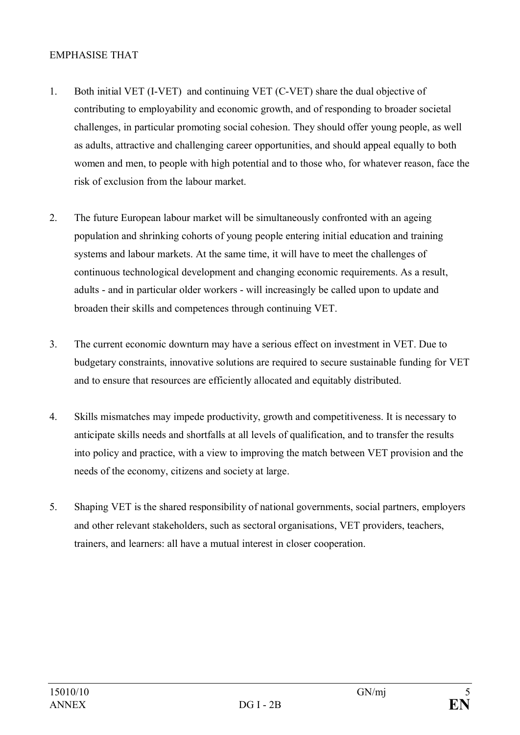### EMPHASISE THAT

- 1. Both initial VET (I-VET) and continuing VET (C-VET) share the dual objective of contributing to employability and economic growth, and of responding to broader societal challenges, in particular promoting social cohesion. They should offer young people, as well as adults, attractive and challenging career opportunities, and should appeal equally to both women and men, to people with high potential and to those who, for whatever reason, face the risk of exclusion from the labour market.
- 2. The future European labour market will be simultaneously confronted with an ageing population and shrinking cohorts of young people entering initial education and training systems and labour markets. At the same time, it will have to meet the challenges of continuous technological development and changing economic requirements. As a result, adults - and in particular older workers - will increasingly be called upon to update and broaden their skills and competences through continuing VET.
- 3. The current economic downturn may have a serious effect on investment in VET. Due to budgetary constraints, innovative solutions are required to secure sustainable funding for VET and to ensure that resources are efficiently allocated and equitably distributed.
- 4. Skills mismatches may impede productivity, growth and competitiveness. It is necessary to anticipate skills needs and shortfalls at all levels of qualification, and to transfer the results into policy and practice, with a view to improving the match between VET provision and the needs of the economy, citizens and society at large.
- 5. Shaping VET is the shared responsibility of national governments, social partners, employers and other relevant stakeholders, such as sectoral organisations, VET providers, teachers, trainers, and learners: all have a mutual interest in closer cooperation.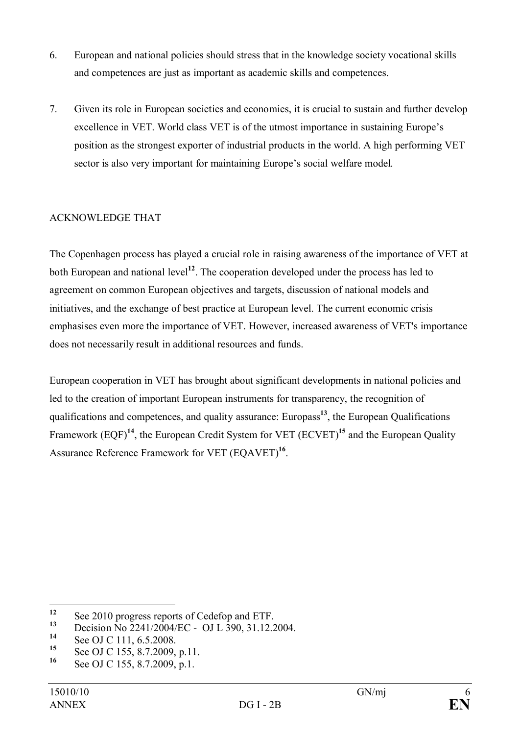- 6. European and national policies should stress that in the knowledge society vocational skills and competences are just as important as academic skills and competences.
- 7. Given its role in European societies and economies, it is crucial to sustain and further develop excellence in VET. World class VET is of the utmost importance in sustaining Europe's position as the strongest exporter of industrial products in the world. A high performing VET sector is also very important for maintaining Europe's social welfare model.

## ACKNOWLEDGE THAT

The Copenhagen process has played a crucial role in raising awareness of the importance of VET at both European and national level**<sup>12</sup>**. The cooperation developed under the process has led to agreement on common European objectives and targets, discussion of national models and initiatives, and the exchange of best practice at European level. The current economic crisis emphasises even more the importance of VET. However, increased awareness of VET's importance does not necessarily result in additional resources and funds.

European cooperation in VET has brought about significant developments in national policies and led to the creation of important European instruments for transparency, the recognition of qualifications and competences, and quality assurance: Europass<sup>13</sup>, the European Qualifications Framework (EQF)**<sup>14</sup>**, the European Credit System for VET (ECVET)**<sup>15</sup>** and the European Quality Assurance Reference Framework for VET (EQAVET)**<sup>16</sup>** .

<sup>&</sup>lt;sup>12</sup> See 2010 progress reports of Cedefop and ETF.<br> **13** Decision No. 2241/2004/EC QUI 200, 21.12.2

<sup>&</sup>lt;sup>13</sup> Decision No 2241/2004/EC - OJ L 390, 31.12.2004.

<sup>&</sup>lt;sup>14</sup> See OJ C 111, 6.5.2008.

<sup>&</sup>lt;sup>15</sup> See OJ C 155, 8.7.2009, p.11.<br><sup>16</sup> See OJ C 155, 8.7.2000, p.1.

See OJ C 155, 8.7.2009, p.1.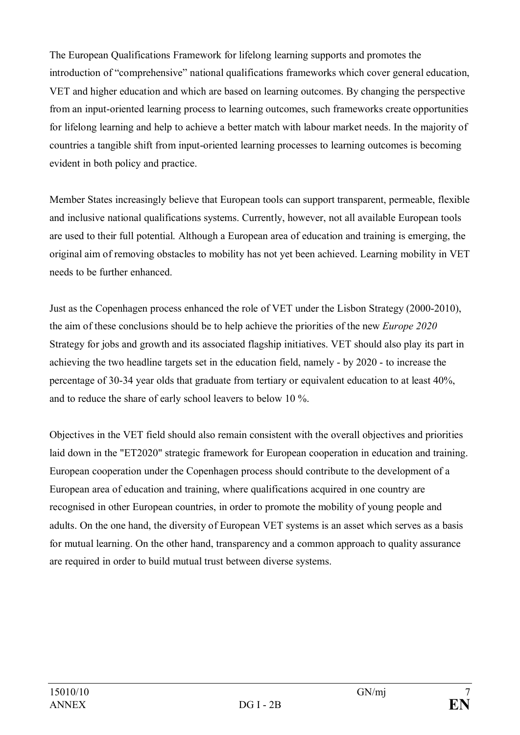The European Qualifications Framework for lifelong learning supports and promotes the introduction of "comprehensive" national qualifications frameworks which cover general education, VET and higher education and which are based on learning outcomes. By changing the perspective from an input-oriented learning process to learning outcomes, such frameworks create opportunities for lifelong learning and help to achieve a better match with labour market needs. In the majority of countries a tangible shift from input-oriented learning processes to learning outcomes is becoming evident in both policy and practice.

Member States increasingly believe that European tools can support transparent, permeable, flexible and inclusive national qualifications systems. Currently, however, not all available European tools are used to their full potential. Although a European area of education and training is emerging, the original aim of removing obstacles to mobility has not yet been achieved. Learning mobility in VET needs to be further enhanced.

Just as the Copenhagen process enhanced the role of VET under the Lisbon Strategy (2000-2010), the aim of these conclusions should be to help achieve the priorities of the new *Europe 2020* Strategy for jobs and growth and its associated flagship initiatives. VET should also play its part in achieving the two headline targets set in the education field, namely - by 2020 - to increase the percentage of 30-34 year olds that graduate from tertiary or equivalent education to at least 40%, and to reduce the share of early school leavers to below 10 %.

Objectives in the VET field should also remain consistent with the overall objectives and priorities laid down in the "ET2020" strategic framework for European cooperation in education and training. European cooperation under the Copenhagen process should contribute to the development of a European area of education and training, where qualifications acquired in one country are recognised in other European countries, in order to promote the mobility of young people and adults. On the one hand, the diversity of European VET systems is an asset which serves as a basis for mutual learning. On the other hand, transparency and a common approach to quality assurance are required in order to build mutual trust between diverse systems.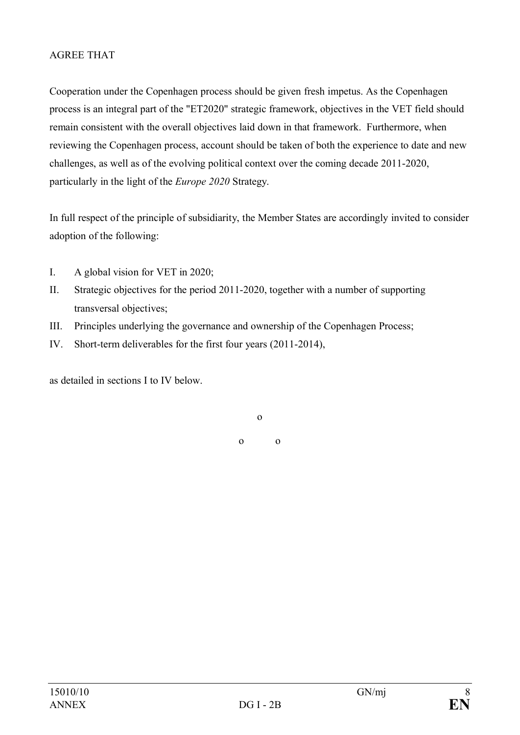## AGREE THAT

Cooperation under the Copenhagen process should be given fresh impetus. As the Copenhagen process is an integral part of the "ET2020" strategic framework, objectives in the VET field should remain consistent with the overall objectives laid down in that framework. Furthermore, when reviewing the Copenhagen process, account should be taken of both the experience to date and new challenges, as well as of the evolving political context over the coming decade 2011-2020, particularly in the light of the *Europe 2020* Strategy.

In full respect of the principle of subsidiarity, the Member States are accordingly invited to consider adoption of the following:

- I. A global vision for VET in 2020;
- II. Strategic objectives for the period 2011-2020, together with a number of supporting transversal objectives;
- III. Principles underlying the governance and ownership of the Copenhagen Process;
- IV. Short-term deliverables for the first four years (2011-2014),

as detailed in sections I to IV below.

o o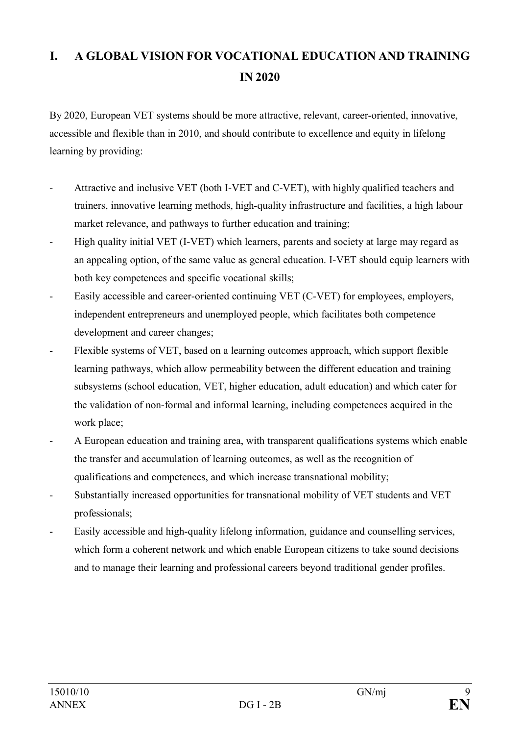# **I. A GLOBAL VISION FOR VOCATIONAL EDUCATION AND TRAINING IN 2020**

By 2020, European VET systems should be more attractive, relevant, career-oriented, innovative, accessible and flexible than in 2010, and should contribute to excellence and equity in lifelong learning by providing:

- Attractive and inclusive VET (both I-VET and C-VET), with highly qualified teachers and trainers, innovative learning methods, high-quality infrastructure and facilities, a high labour market relevance, and pathways to further education and training;
- High quality initial VET (I-VET) which learners, parents and society at large may regard as an appealing option, of the same value as general education. I-VET should equip learners with both key competences and specific vocational skills;
- Easily accessible and career-oriented continuing VET (C-VET) for employees, employers, independent entrepreneurs and unemployed people, which facilitates both competence development and career changes;
- Flexible systems of VET, based on a learning outcomes approach, which support flexible learning pathways, which allow permeability between the different education and training subsystems (school education, VET, higher education, adult education) and which cater for the validation of non-formal and informal learning, including competences acquired in the work place;
- A European education and training area, with transparent qualifications systems which enable the transfer and accumulation of learning outcomes, as well as the recognition of qualifications and competences, and which increase transnational mobility;
- Substantially increased opportunities for transnational mobility of VET students and VET professionals;
- Easily accessible and high-quality lifelong information, guidance and counselling services, which form a coherent network and which enable European citizens to take sound decisions and to manage their learning and professional careers beyond traditional gender profiles.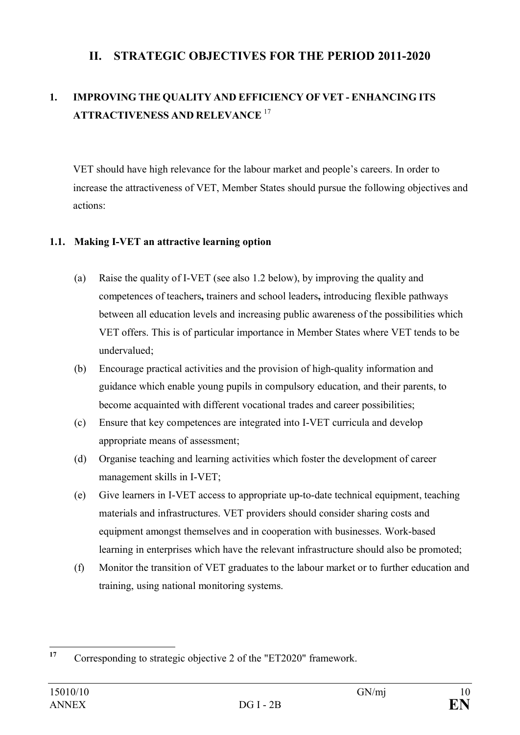# **II. STRATEGIC OBJECTIVES FOR THE PERIOD 2011-2020**

# **1. IMPROVING THE QUALITY AND EFFICIENCY OF VET - ENHANCING ITS ATTRACTIVENESS AND RELEVANCE** <sup>17</sup>

VET should have high relevance for the labour market and people's careers. In order to increase the attractiveness of VET, Member States should pursue the following objectives and actions:

# **1.1. Making I-VET an attractive learning option**

- (a) Raise the quality of I-VET (see also 1.2 below), by improving the quality and competences of teachers**,** trainers and school leaders**,** introducing flexible pathways between all education levels and increasing public awareness of the possibilities which VET offers. This is of particular importance in Member States where VET tends to be undervalued;
- (b) Encourage practical activities and the provision of high-quality information and guidance which enable young pupils in compulsory education, and their parents, to become acquainted with different vocational trades and career possibilities;
- (c) Ensure that key competences are integrated into I-VET curricula and develop appropriate means of assessment;
- (d) Organise teaching and learning activities which foster the development of career management skills in I-VET;
- (e) Give learners in I-VET access to appropriate up-to-date technical equipment, teaching materials and infrastructures. VET providers should consider sharing costs and equipment amongst themselves and in cooperation with businesses. Work-based learning in enterprises which have the relevant infrastructure should also be promoted;
- (f) Monitor the transition of VET graduates to the labour market or to further education and training, using national monitoring systems.

<sup>&</sup>lt;sup>17</sup> Corresponding to strategic objective 2 of the "ET2020" framework.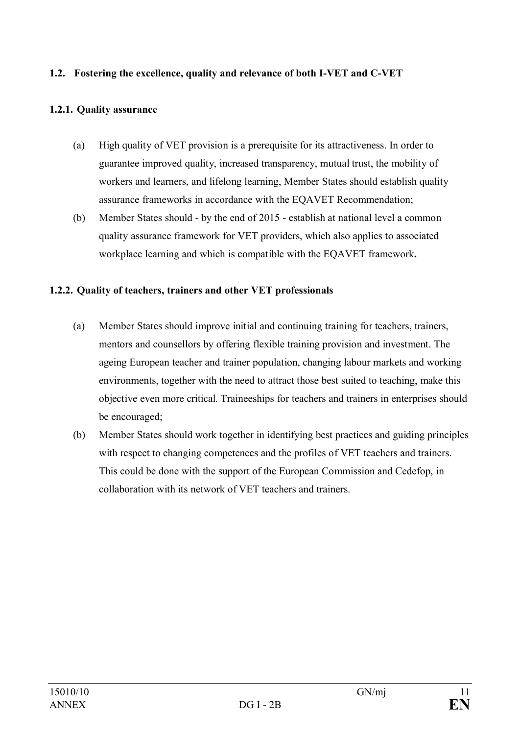### **1.2. Fostering the excellence, quality and relevance of both I-VET and C-VET**

## **1.2.1. Quality assurance**

- (a) High quality of VET provision is a prerequisite for its attractiveness. In order to guarantee improved quality, increased transparency, mutual trust, the mobility of workers and learners, and lifelong learning, Member States should establish quality assurance frameworks in accordance with the EQAVET Recommendation;
- (b) Member States should by the end of 2015 establish at national level a common quality assurance framework for VET providers, which also applies to associated workplace learning and which is compatible with the EQAVET framework**.**

## **1.2.2. Quality of teachers, trainers and other VET professionals**

- (a) Member States should improve initial and continuing training for teachers, trainers, mentors and counsellors by offering flexible training provision and investment. The ageing European teacher and trainer population, changing labour markets and working environments, together with the need to attract those best suited to teaching, make this objective even more critical. Traineeships for teachers and trainers in enterprises should be encouraged;
- (b) Member States should work together in identifying best practices and guiding principles with respect to changing competences and the profiles of VET teachers and trainers. This could be done with the support of the European Commission and Cedefop, in collaboration with its network of VET teachers and trainers.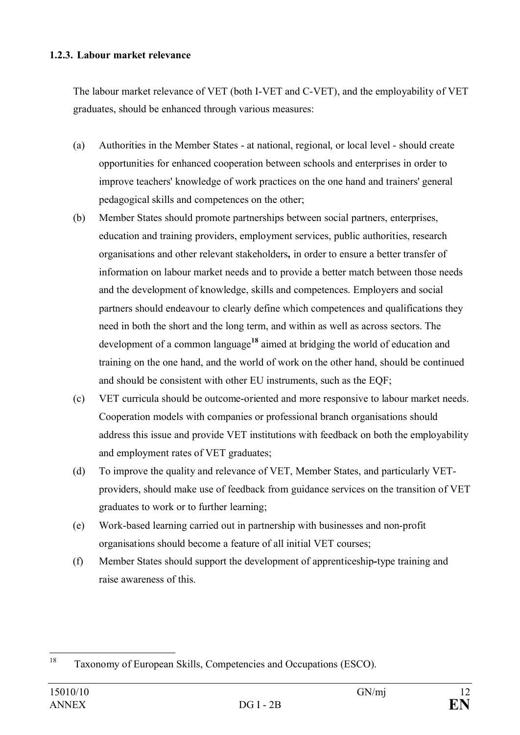### **1.2.3. Labour market relevance**

The labour market relevance of VET (both I-VET and C-VET), and the employability of VET graduates, should be enhanced through various measures:

- (a) Authorities in the Member States at national, regional, or local level should create opportunities for enhanced cooperation between schools and enterprises in order to improve teachers' knowledge of work practices on the one hand and trainers' general pedagogical skills and competences on the other;
- (b) Member States should promote partnerships between social partners, enterprises, education and training providers, employment services, public authorities, research organisations and other relevant stakeholders**,** in order to ensure a better transfer of information on labour market needs and to provide a better match between those needs and the development of knowledge, skills and competences. Employers and social partners should endeavour to clearly define which competences and qualifications they need in both the short and the long term, and within as well as across sectors. The development of a common language**<sup>18</sup>** aimed at bridging the world of education and training on the one hand, and the world of work on the other hand, should be continued and should be consistent with other EU instruments, such as the EQF;
- (c) VET curricula should be outcome-oriented and more responsive to labour market needs. Cooperation models with companies or professional branch organisations should address this issue and provide VET institutions with feedback on both the employability and employment rates of VET graduates;
- (d) To improve the quality and relevance of VET, Member States, and particularly VETproviders, should make use of feedback from guidance services on the transition of VET graduates to work or to further learning;
- (e) Work-based learning carried out in partnership with businesses and non-profit organisations should become a feature of all initial VET courses;
- (f) Member States should support the development of apprenticeship**-**type training and raise awareness of this.

<sup>18</sup> Taxonomy of European Skills, Competencies and Occupations (ESCO).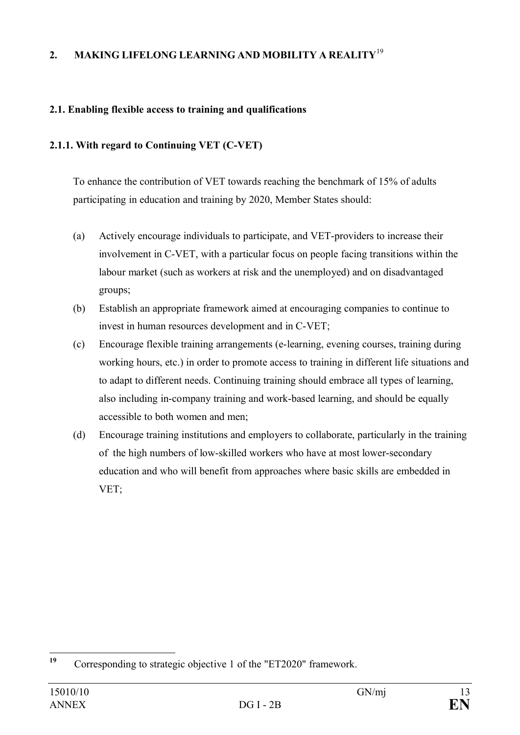# **2. MAKING LIFELONG LEARNING AND MOBILITY A REALITY**<sup>19</sup>

## **2.1. Enabling flexible access to training and qualifications**

### **2.1.1. With regard to Continuing VET (C-VET)**

To enhance the contribution of VET towards reaching the benchmark of 15% of adults participating in education and training by 2020, Member States should:

- (a) Actively encourage individuals to participate, and VET-providers to increase their involvement in C-VET, with a particular focus on people facing transitions within the labour market (such as workers at risk and the unemployed) and on disadvantaged groups;
- (b) Establish an appropriate framework aimed at encouraging companies to continue to invest in human resources development and in C-VET;
- (c) Encourage flexible training arrangements (e-learning, evening courses, training during working hours, etc.) in order to promote access to training in different life situations and to adapt to different needs. Continuing training should embrace all types of learning, also including in-company training and work-based learning, and should be equally accessible to both women and men;
- (d) Encourage training institutions and employers to collaborate, particularly in the training of the high numbers of low-skilled workers who have at most lower-secondary education and who will benefit from approaches where basic skills are embedded in VET;

**<sup>19</sup>** Corresponding to strategic objective 1 of the "ET2020" framework.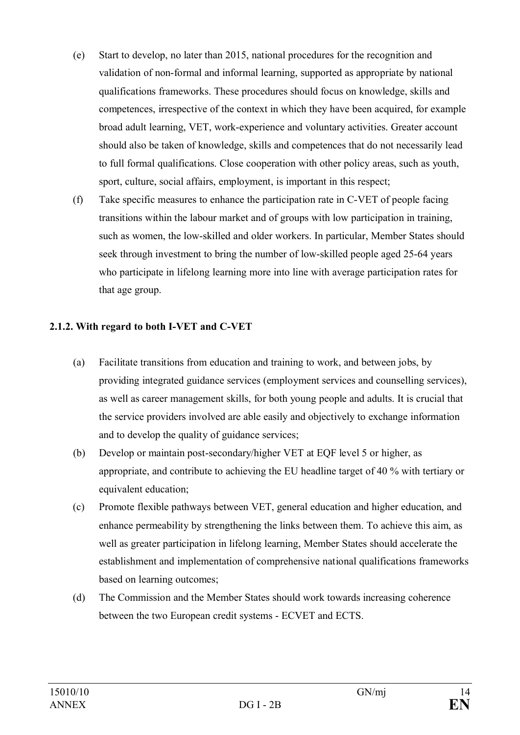- (e) Start to develop, no later than 2015, national procedures for the recognition and validation of non-formal and informal learning, supported as appropriate by national qualifications frameworks. These procedures should focus on knowledge, skills and competences, irrespective of the context in which they have been acquired, for example broad adult learning, VET, work-experience and voluntary activities. Greater account should also be taken of knowledge, skills and competences that do not necessarily lead to full formal qualifications. Close cooperation with other policy areas, such as youth, sport, culture, social affairs, employment, is important in this respect;
- (f) Take specific measures to enhance the participation rate in C-VET of people facing transitions within the labour market and of groups with low participation in training, such as women, the low-skilled and older workers. In particular, Member States should seek through investment to bring the number of low-skilled people aged 25-64 years who participate in lifelong learning more into line with average participation rates for that age group.

### **2.1.2. With regard to both I-VET and C-VET**

- (a) Facilitate transitions from education and training to work, and between jobs, by providing integrated guidance services (employment services and counselling services), as well as career management skills, for both young people and adults. It is crucial that the service providers involved are able easily and objectively to exchange information and to develop the quality of guidance services;
- (b) Develop or maintain post-secondary/higher VET at EQF level 5 or higher, as appropriate, and contribute to achieving the EU headline target of 40 % with tertiary or equivalent education;
- (c) Promote flexible pathways between VET, general education and higher education, and enhance permeability by strengthening the links between them. To achieve this aim, as well as greater participation in lifelong learning, Member States should accelerate the establishment and implementation of comprehensive national qualifications frameworks based on learning outcomes;
- (d) The Commission and the Member States should work towards increasing coherence between the two European credit systems - ECVET and ECTS.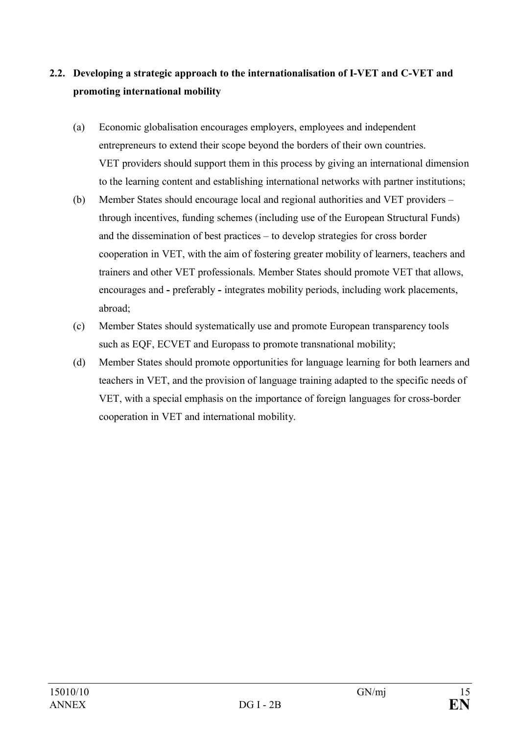# **2.2. Developing a strategic approach to the internationalisation of I-VET and C-VET and promoting international mobility**

- (a) Economic globalisation encourages employers, employees and independent entrepreneurs to extend their scope beyond the borders of their own countries. VET providers should support them in this process by giving an international dimension to the learning content and establishing international networks with partner institutions;
- (b) Member States should encourage local and regional authorities and VET providers through incentives, funding schemes (including use of the European Structural Funds) and the dissemination of best practices – to develop strategies for cross border cooperation in VET, with the aim of fostering greater mobility of learners, teachers and trainers and other VET professionals. Member States should promote VET that allows, encourages and **-** preferably **-** integrates mobility periods, including work placements, abroad;
- (c) Member States should systematically use and promote European transparency tools such as EQF, ECVET and Europass to promote transnational mobility;
- (d) Member States should promote opportunities for language learning for both learners and teachers in VET, and the provision of language training adapted to the specific needs of VET, with a special emphasis on the importance of foreign languages for cross-border cooperation in VET and international mobility.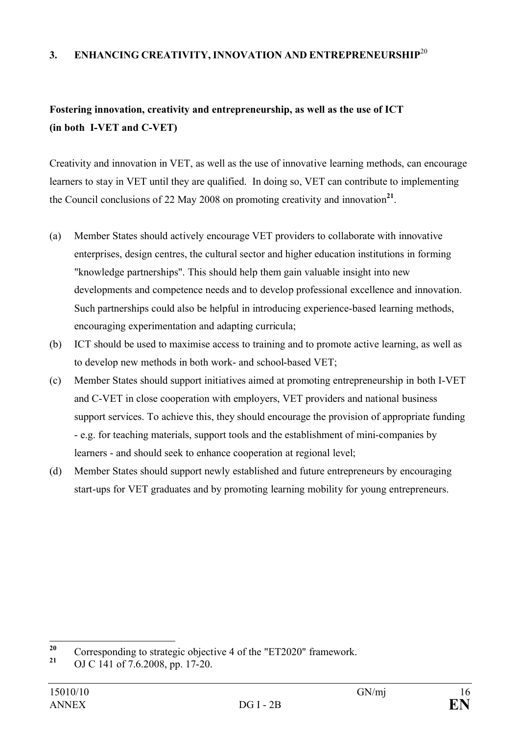### **3. ENHANCING CREATIVITY, INNOVATION AND ENTREPRENEURSHIP**<sup>20</sup>

# **Fostering innovation, creativity and entrepreneurship, as well as the use of ICT (in both I-VET and C-VET)**

Creativity and innovation in VET, as well as the use of innovative learning methods, can encourage learners to stay in VET until they are qualified. In doing so, VET can contribute to implementing the Council conclusions of 22 May 2008 on promoting creativity and innovation **21** .

- (a) Member States should actively encourage VET providers to collaborate with innovative enterprises, design centres, the cultural sector and higher education institutions in forming "knowledge partnerships". This should help them gain valuable insight into new developments and competence needs and to develop professional excellence and innovation. Such partnerships could also be helpful in introducing experience-based learning methods, encouraging experimentation and adapting curricula;
- (b) ICT should be used to maximise access to training and to promote active learning, as well as to develop new methods in both work- and school-based VET;
- (c) Member States should support initiatives aimed at promoting entrepreneurship in both I-VET and C-VET in close cooperation with employers, VET providers and national business support services. To achieve this, they should encourage the provision of appropriate funding - e.g. for teaching materials, support tools and the establishment of mini-companies by learners - and should seek to enhance cooperation at regional level;
- (d) Member States should support newly established and future entrepreneurs by encouraging start-ups for VET graduates and by promoting learning mobility for young entrepreneurs.

<sup>&</sup>lt;sup>20</sup> Corresponding to strategic objective 4 of the "ET2020" framework.<br><sup>21</sup> CJC <sup>141</sup> e<sup>5.7</sup> 6.2008 ap <sup>17</sup>, 20

**<sup>21</sup>** OJ C 141 of 7.6.2008, pp. 17-20.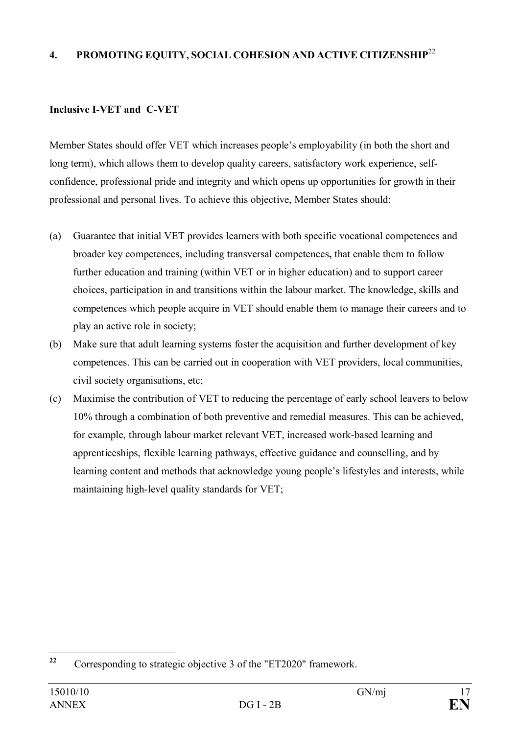## **4. PROMOTING EQUITY, SOCIAL COHESION AND ACTIVE CITIZENSHIP**<sup>22</sup>

## **Inclusive I-VET and C-VET**

Member States should offer VET which increases people's employability (in both the short and long term), which allows them to develop quality careers, satisfactory work experience, selfconfidence, professional pride and integrity and which opens up opportunities for growth in their professional and personal lives. To achieve this objective, Member States should:

- (a) Guarantee that initial VET provides learners with both specific vocational competences and broader key competences, including transversal competences**,** that enable them to follow further education and training (within VET or in higher education) and to support career choices, participation in and transitions within the labour market. The knowledge, skills and competences which people acquire in VET should enable them to manage their careers and to play an active role in society;
- (b) Make sure that adult learning systems foster the acquisition and further development of key competences. This can be carried out in cooperation with VET providers, local communities, civil society organisations, etc;
- (c) Maximise the contribution of VET to reducing the percentage of early school leavers to below 10% through a combination of both preventive and remedial measures. This can be achieved, for example, through labour market relevant VET, increased work-based learning and apprenticeships, flexible learning pathways, effective guidance and counselling, and by learning content and methods that acknowledge young people's lifestyles and interests, while maintaining high-level quality standards for VET;

**<sup>22</sup>** Corresponding to strategic objective 3 of the "ET2020" framework.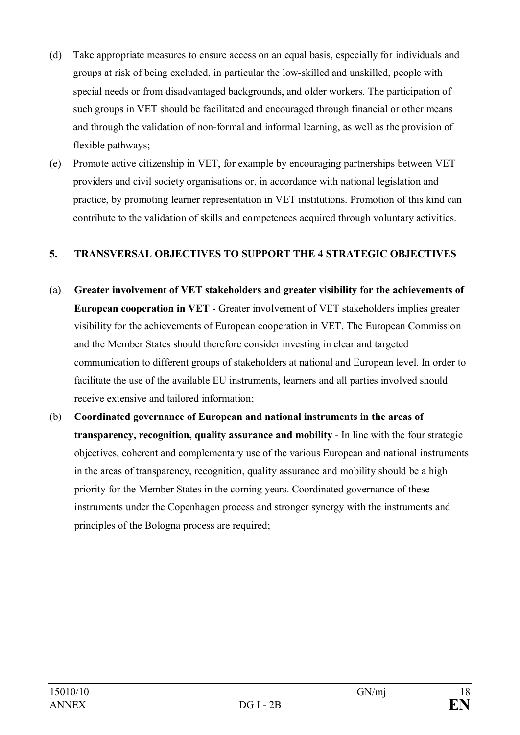- (d) Take appropriate measures to ensure access on an equal basis, especially for individuals and groups at risk of being excluded, in particular the low-skilled and unskilled, people with special needs or from disadvantaged backgrounds, and older workers. The participation of such groups in VET should be facilitated and encouraged through financial or other means and through the validation of non-formal and informal learning, as well as the provision of flexible pathways;
- (e) Promote active citizenship in VET, for example by encouraging partnerships between VET providers and civil society organisations or, in accordance with national legislation and practice, by promoting learner representation in VET institutions. Promotion of this kind can contribute to the validation of skills and competences acquired through voluntary activities.

## **5. TRANSVERSAL OBJECTIVES TO SUPPORT THE 4 STRATEGIC OBJECTIVES**

- (a) **Greater involvement of VET stakeholders and greater visibility for the achievements of European cooperation in VET** - Greater involvement of VET stakeholders implies greater visibility for the achievements of European cooperation in VET. The European Commission and the Member States should therefore consider investing in clear and targeted communication to different groups of stakeholders at national and European level. In order to facilitate the use of the available EU instruments, learners and all parties involved should receive extensive and tailored information;
- (b) **Coordinated governance of European and national instruments in the areas of transparency, recognition, quality assurance and mobility** - In line with the four strategic objectives, coherent and complementary use of the various European and national instruments in the areas of transparency, recognition, quality assurance and mobility should be a high priority for the Member States in the coming years. Coordinated governance of these instruments under the Copenhagen process and stronger synergy with the instruments and principles of the Bologna process are required;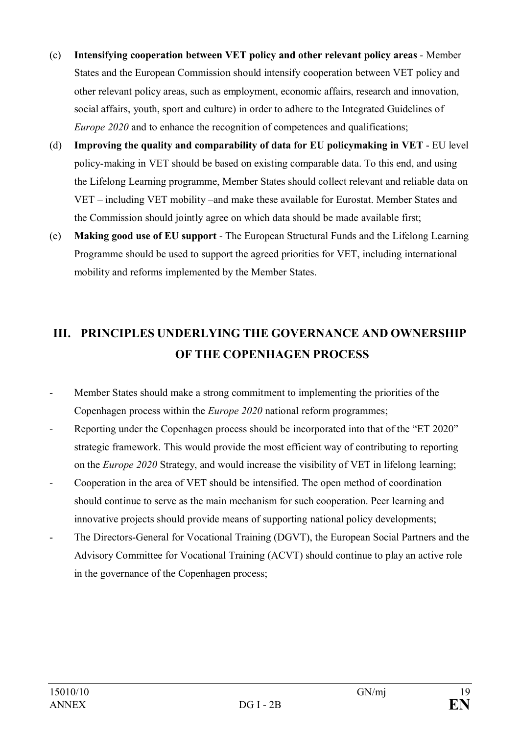- (c) **Intensifying cooperation between VET policy and other relevant policy areas** Member States and the European Commission should intensify cooperation between VET policy and other relevant policy areas, such as employment, economic affairs, research and innovation, social affairs, youth, sport and culture) in order to adhere to the Integrated Guidelines of *Europe 2020* and to enhance the recognition of competences and qualifications;
- (d) **Improving the quality and comparability of data for EU policymaking in VET** EU level policy-making in VET should be based on existing comparable data. To this end, and using the Lifelong Learning programme, Member States should collect relevant and reliable data on VET – including VET mobility –and make these available for Eurostat. Member States and the Commission should jointly agree on which data should be made available first;
- (e) **Making good use of EU support**  The European Structural Funds and the Lifelong Learning Programme should be used to support the agreed priorities for VET, including international mobility and reforms implemented by the Member States.

# **III. PRINCIPLES UNDERLYING THE GOVERNANCE AND OWNERSHIP OF THE COPENHAGEN PROCESS**

- Member States should make a strong commitment to implementing the priorities of the Copenhagen process within the *Europe 2020* national reform programmes;
- Reporting under the Copenhagen process should be incorporated into that of the "ET 2020" strategic framework. This would provide the most efficient way of contributing to reporting on the *Europe 2020* Strategy, and would increase the visibility of VET in lifelong learning;
- Cooperation in the area of VET should be intensified. The open method of coordination should continue to serve as the main mechanism for such cooperation. Peer learning and innovative projects should provide means of supporting national policy developments;
- The Directors-General for Vocational Training (DGVT), the European Social Partners and the Advisory Committee for Vocational Training (ACVT) should continue to play an active role in the governance of the Copenhagen process;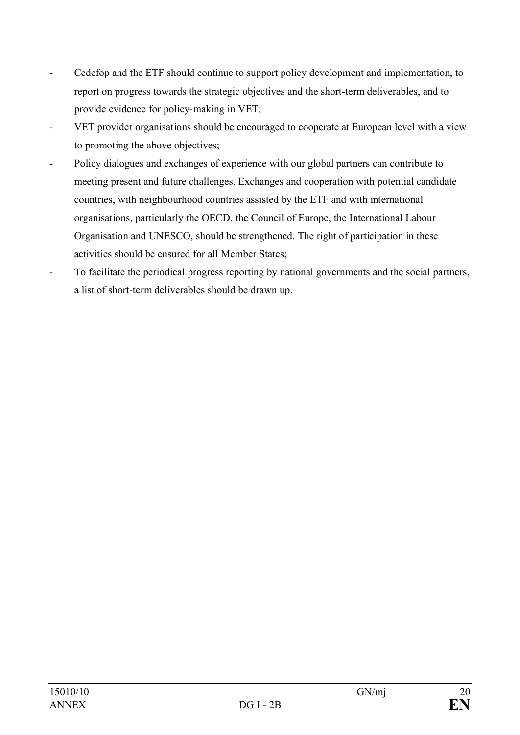- Cedefop and the ETF should continue to support policy development and implementation, to report on progress towards the strategic objectives and the short-term deliverables, and to provide evidence for policy-making in VET;
- *-* VET provider organisations should be encouraged to cooperate at European level with a view to promoting the above objectives;
- Policy dialogues and exchanges of experience with our global partners can contribute to meeting present and future challenges. Exchanges and cooperation with potential candidate countries, with neighbourhood countries assisted by the ETF and with international organisations, particularly the OECD, the Council of Europe, the International Labour Organisation and UNESCO, should be strengthened. The right of participation in these activities should be ensured for all Member States;
- To facilitate the periodical progress reporting by national governments and the social partners, a list of short-term deliverables should be drawn up.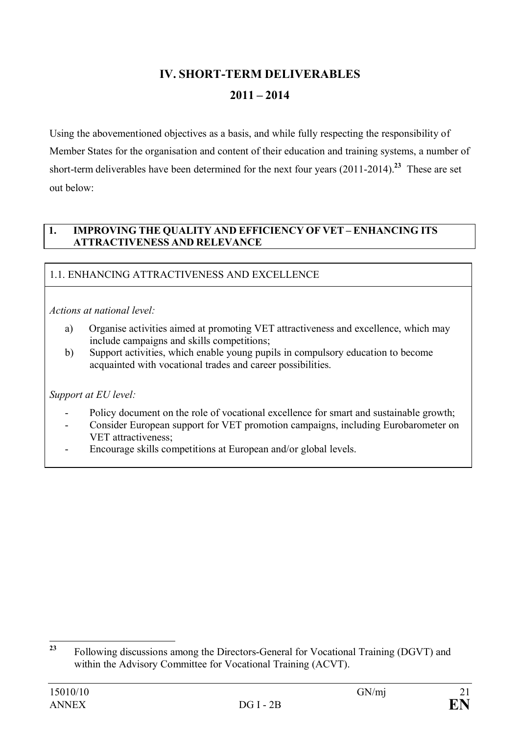# **IV. SHORT-TERM DELIVERABLES 2011 – 2014**

Using the abovementioned objectives as a basis, and while fully respecting the responsibility of Member States for the organisation and content of their education and training systems, a number of short-term deliverables have been determined for the next four years (2011-2014). **<sup>23</sup>** These are set out below:

### **1. IMPROVING THE QUALITY AND EFFICIENCY OF VET – ENHANCING ITS ATTRACTIVENESS AND RELEVANCE**

# 1.1. ENHANCING ATTRACTIVENESS AND EXCELLENCE

*Actions at national level:*

- a) Organise activities aimed at promoting VET attractiveness and excellence, which may include campaigns and skills competitions;
- b) Support activities, which enable young pupils in compulsory education to become acquainted with vocational trades and career possibilities.

- Policy document on the role of vocational excellence for smart and sustainable growth;
- Consider European support for VET promotion campaigns, including Eurobarometer on VET attractiveness;
- Encourage skills competitions at European and/or global levels.

**<sup>23</sup>** Following discussions among the Directors-General for Vocational Training (DGVT) and within the Advisory Committee for Vocational Training (ACVT).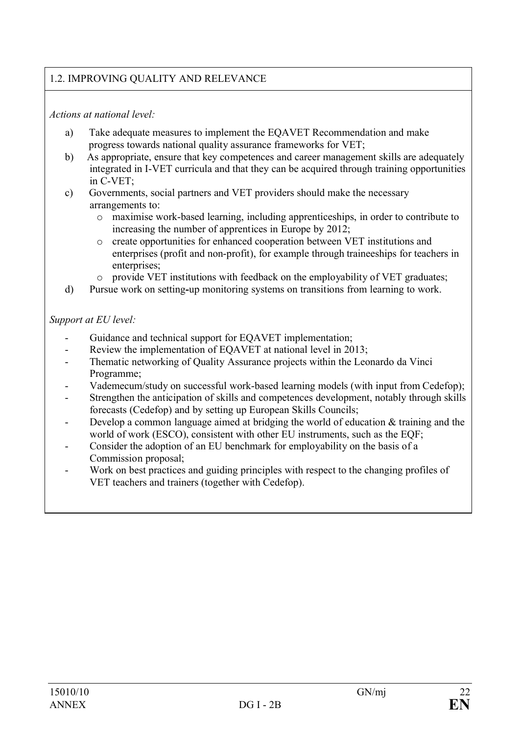# 1.2. IMPROVING QUALITY AND RELEVANCE

### *Actions at national level:*

- a) Take adequate measures to implement the EQAVET Recommendation and make progress towards national quality assurance frameworks for VET;
- b) As appropriate, ensure that key competences and career management skills are adequately integrated in I-VET curricula and that they can be acquired through training opportunities in C-VET;
- c) Governments, social partners and VET providers should make the necessary arrangements to:
	- o maximise work-based learning, including apprenticeships, in order to contribute to increasing the number of apprentices in Europe by 2012;
	- o create opportunities for enhanced cooperation between VET institutions and enterprises (profit and non-profit), for example through traineeships for teachers in enterprises;
	- o provide VET institutions with feedback on the employability of VET graduates;
- d) Pursue work on setting**-**up monitoring systems on transitions from learning to work.

- Guidance and technical support for EQAVET implementation;
- Review the implementation of EQAVET at national level in 2013;
- Thematic networking of Quality Assurance projects within the Leonardo da Vinci Programme;
- Vademecum/study on successful work-based learning models (with input from Cedefop);
- Strengthen the anticipation of skills and competences development, notably through skills forecasts (Cedefop) and by setting up European Skills Councils;
- Develop a common language aimed at bridging the world of education  $&$  training and the world of work (ESCO), consistent with other EU instruments, such as the EQF;
- Consider the adoption of an EU benchmark for employability on the basis of a Commission proposal;
- Work on best practices and guiding principles with respect to the changing profiles of VET teachers and trainers (together with Cedefop).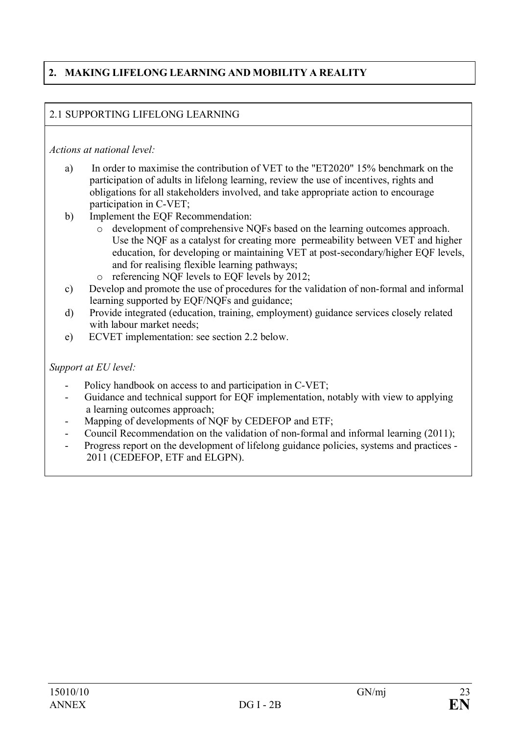# **2. MAKING LIFELONG LEARNING AND MOBILITY A REALITY**

## 2.1 SUPPORTING LIFELONG LEARNING

### *Actions at national level:*

- a) In order to maximise the contribution of VET to the "ET2020" 15% benchmark on the participation of adults in lifelong learning, review the use of incentives, rights and obligations for all stakeholders involved, and take appropriate action to encourage participation in C-VET;
- b) Implement the EQF Recommendation:
	- o development of comprehensive NQFs based on the learning outcomes approach. Use the NQF as a catalyst for creating more permeability between VET and higher education, for developing or maintaining VET at post-secondary/higher EQF levels, and for realising flexible learning pathways;
	- o referencing NQF levels to EQF levels by 2012;
- c) Develop and promote the use of procedures for the validation of non-formal and informal learning supported by EQF/NQFs and guidance;
- d) Provide integrated (education, training, employment) guidance services closely related with labour market needs;
- e) ECVET implementation: see section 2.2 below.

- Policy handbook on access to and participation in C-VET;
- Guidance and technical support for EQF implementation, notably with view to applying a learning outcomes approach;
- Mapping of developments of NQF by CEDEFOP and ETF;
- Council Recommendation on the validation of non-formal and informal learning (2011);
- Progress report on the development of lifelong guidance policies, systems and practices 2011 (CEDEFOP, ETF and ELGPN).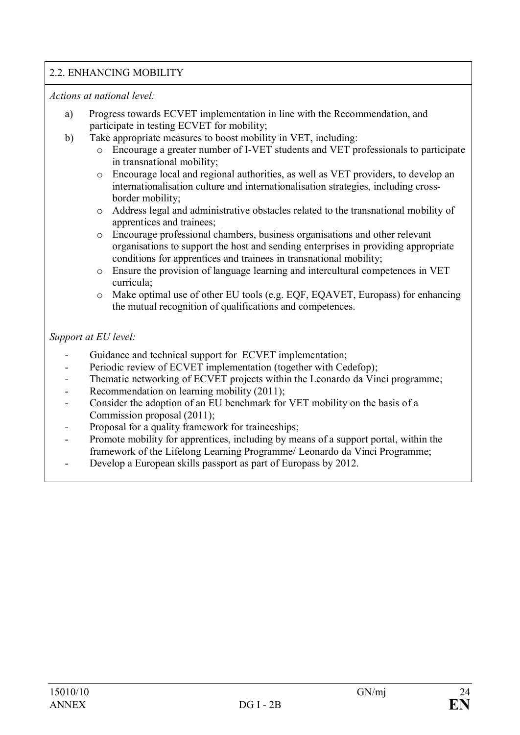## 2.2. ENHANCING MOBILITY

*Actions at national level:*

- a) Progress towards ECVET implementation in line with the Recommendation, and participate in testing ECVET for mobility;
- b) Take appropriate measures to boost mobility in VET, including:
	- o Encourage a greater number of I-VET students and VET professionals to participate in transnational mobility;
	- o Encourage local and regional authorities, as well as VET providers, to develop an internationalisation culture and internationalisation strategies, including crossborder mobility;
	- o Address legal and administrative obstacles related to the transnational mobility of apprentices and trainees;
	- o Encourage professional chambers, business organisations and other relevant organisations to support the host and sending enterprises in providing appropriate conditions for apprentices and trainees in transnational mobility;
	- o Ensure the provision of language learning and intercultural competences in VET curricula;
	- o Make optimal use of other EU tools (e.g. EQF, EQAVET, Europass) for enhancing the mutual recognition of qualifications and competences.

- Guidance and technical support for ECVET implementation;
- Periodic review of ECVET implementation (together with Cedefop);
- Thematic networking of ECVET projects within the Leonardo da Vinci programme;
- Recommendation on learning mobility (2011);
- Consider the adoption of an EU benchmark for VET mobility on the basis of a Commission proposal (2011);
- Proposal for a quality framework for traineeships;
- Promote mobility for apprentices, including by means of a support portal, within the framework of the Lifelong Learning Programme/ Leonardo da Vinci Programme;
- Develop a European skills passport as part of Europass by 2012.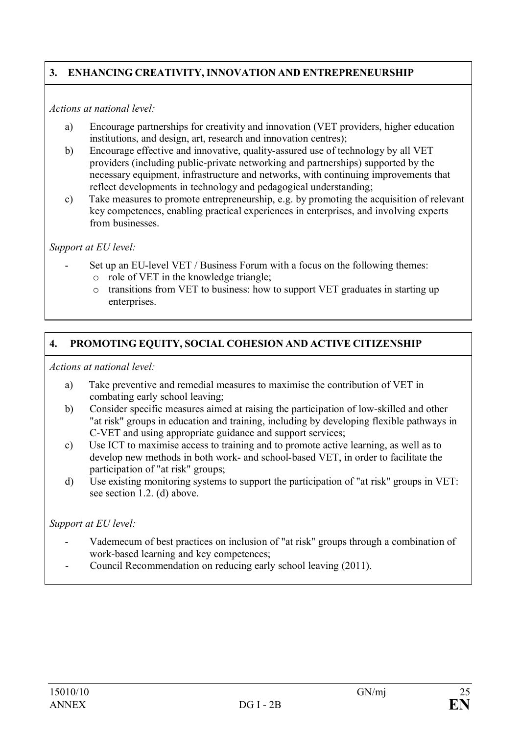# **3. ENHANCING CREATIVITY, INNOVATION AND ENTREPRENEURSHIP**

### *Actions at national level:*

- a) Encourage partnerships for creativity and innovation (VET providers, higher education institutions, and design, art, research and innovation centres);
- b) Encourage effective and innovative, quality-assured use of technology by all VET providers (including public-private networking and partnerships) supported by the necessary equipment, infrastructure and networks, with continuing improvements that reflect developments in technology and pedagogical understanding;
- c) Take measures to promote entrepreneurship, e.g. by promoting the acquisition of relevant key competences, enabling practical experiences in enterprises, and involving experts from businesses.

*Support at EU level:*

- Set up an EU-level VET / Business Forum with a focus on the following themes:
	- o role of VET in the knowledge triangle;
	- o transitions from VET to business: how to support VET graduates in starting up enterprises.

# **4. PROMOTING EQUITY, SOCIAL COHESION AND ACTIVE CITIZENSHIP**

*Actions at national level:*

- a) Take preventive and remedial measures to maximise the contribution of VET in combating early school leaving;
- b) Consider specific measures aimed at raising the participation of low-skilled and other "at risk" groups in education and training, including by developing flexible pathways in C-VET and using appropriate guidance and support services;
- c) Use ICT to maximise access to training and to promote active learning, as well as to develop new methods in both work- and school-based VET, in order to facilitate the participation of "at risk" groups;
- d) Use existing monitoring systems to support the participation of "at risk" groups in VET: see section 1.2. (d) above.

- Vademecum of best practices on inclusion of "at risk" groups through a combination of work-based learning and key competences;
- Council Recommendation on reducing early school leaving (2011).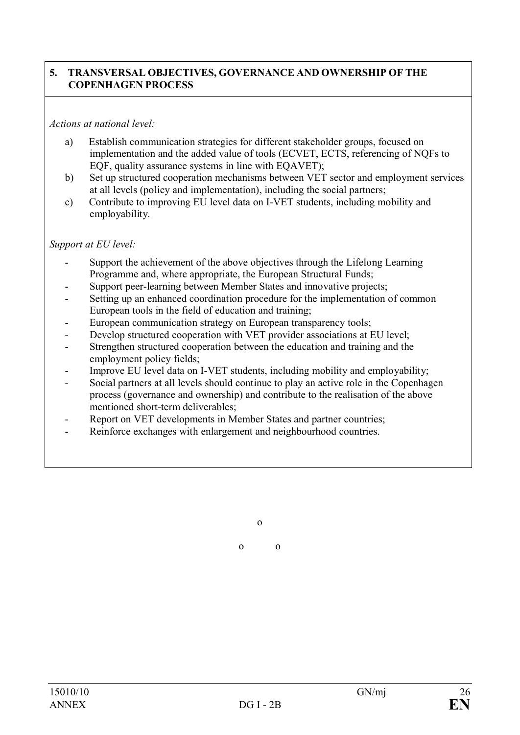### **5. TRANSVERSAL OBJECTIVES, GOVERNANCE AND OWNERSHIP OF THE COPENHAGEN PROCESS**

### *Actions at national level:*

- a) Establish communication strategies for different stakeholder groups, focused on implementation and the added value of tools (ECVET, ECTS, referencing of NQFs to EQF, quality assurance systems in line with EQAVET);
- b) Set up structured cooperation mechanisms between VET sector and employment services at all levels (policy and implementation), including the social partners;
- c) Contribute to improving EU level data on I-VET students, including mobility and employability.

### *Support at EU level:*

- Support the achievement of the above objectives through the Lifelong Learning Programme and, where appropriate, the European Structural Funds;
- Support peer-learning between Member States and innovative projects;
- Setting up an enhanced coordination procedure for the implementation of common European tools in the field of education and training;
- European communication strategy on European transparency tools;
- Develop structured cooperation with VET provider associations at EU level;
- Strengthen structured cooperation between the education and training and the employment policy fields;
- Improve EU level data on I-VET students, including mobility and employability;
- Social partners at all levels should continue to play an active role in the Copenhagen process (governance and ownership) and contribute to the realisation of the above mentioned short-term deliverables;
- Report on VET developments in Member States and partner countries;
- Reinforce exchanges with enlargement and neighbourhood countries.

o

o o